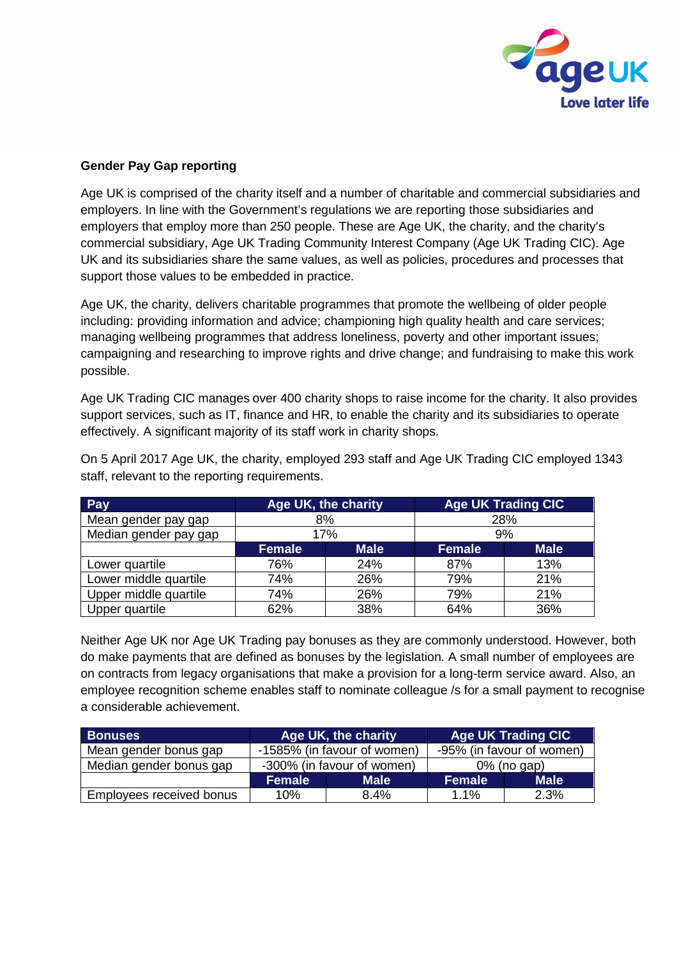

## **Gender Pay Gap reporting**

Age UK is comprised of the charity itself and a number of charitable and commercial subsidiaries and employers. In line with the Government's regulations we are reporting those subsidiaries and employers that employ more than 250 people. These are Age UK, the charity, and the charity's commercial subsidiary, Age UK Trading Community Interest Company (Age UK Trading CIC). Age UK and its subsidiaries share the same values, as well as policies, procedures and processes that support those values to be embedded in practice.

Age UK, the charity, delivers charitable programmes that promote the wellbeing of older people including: providing information and advice; championing high quality health and care services; managing wellbeing programmes that address loneliness, poverty and other important issues; campaigning and researching to improve rights and drive change; and fundraising to make this work possible.

Age UK Trading CIC manages over 400 charity shops to raise income for the charity. It also provides support services, such as IT, finance and HR, to enable the charity and its subsidiaries to operate effectively. A significant majority of its staff work in charity shops.

| Pay                   | Age UK, the charity |             | <b>Age UK Trading CIC</b> |             |
|-----------------------|---------------------|-------------|---------------------------|-------------|
| Mean gender pay gap   | 8%                  |             | 28%                       |             |
| Median gender pay gap | 17%                 |             | 9%                        |             |
|                       | <b>Female</b>       | <b>Male</b> | <b>Female</b>             | <b>Male</b> |
| Lower quartile        | 76%                 | 24%         | 87%                       | 13%         |
| Lower middle quartile | 74%                 | 26%         | 79%                       | 21%         |
| Upper middle quartile | 74%                 | 26%         | 79%                       | 21%         |
| Upper quartile        | 62%                 | 38%         | 64%                       | 36%         |

On 5 April 2017 Age UK, the charity, employed 293 staff and Age UK Trading CIC employed 1343 staff, relevant to the reporting requirements.

Neither Age UK nor Age UK Trading pay bonuses as they are commonly understood. However, both do make payments that are defined as bonuses by the legislation. A small number of employees are on contracts from legacy organisations that make a provision for a long-term service award. Also, an employee recognition scheme enables staff to nominate colleague /s for a small payment to recognise a considerable achievement.

| <b>Bonuses</b>           | Age UK, the charity        |                             | <b>Age UK Trading CIC</b> |             |
|--------------------------|----------------------------|-----------------------------|---------------------------|-------------|
| Mean gender bonus gap    |                            | -1585% (in favour of women) | -95% (in favour of women) |             |
| Median gender bonus gap  | -300% (in favour of women) |                             | 0% (no gap)               |             |
|                          | <b>Female</b>              | <b>Male</b>                 | <b>Female</b>             | <b>Male</b> |
| Employees received bonus | 10%                        | 8.4%                        | $1.1\%$                   | 2.3%        |